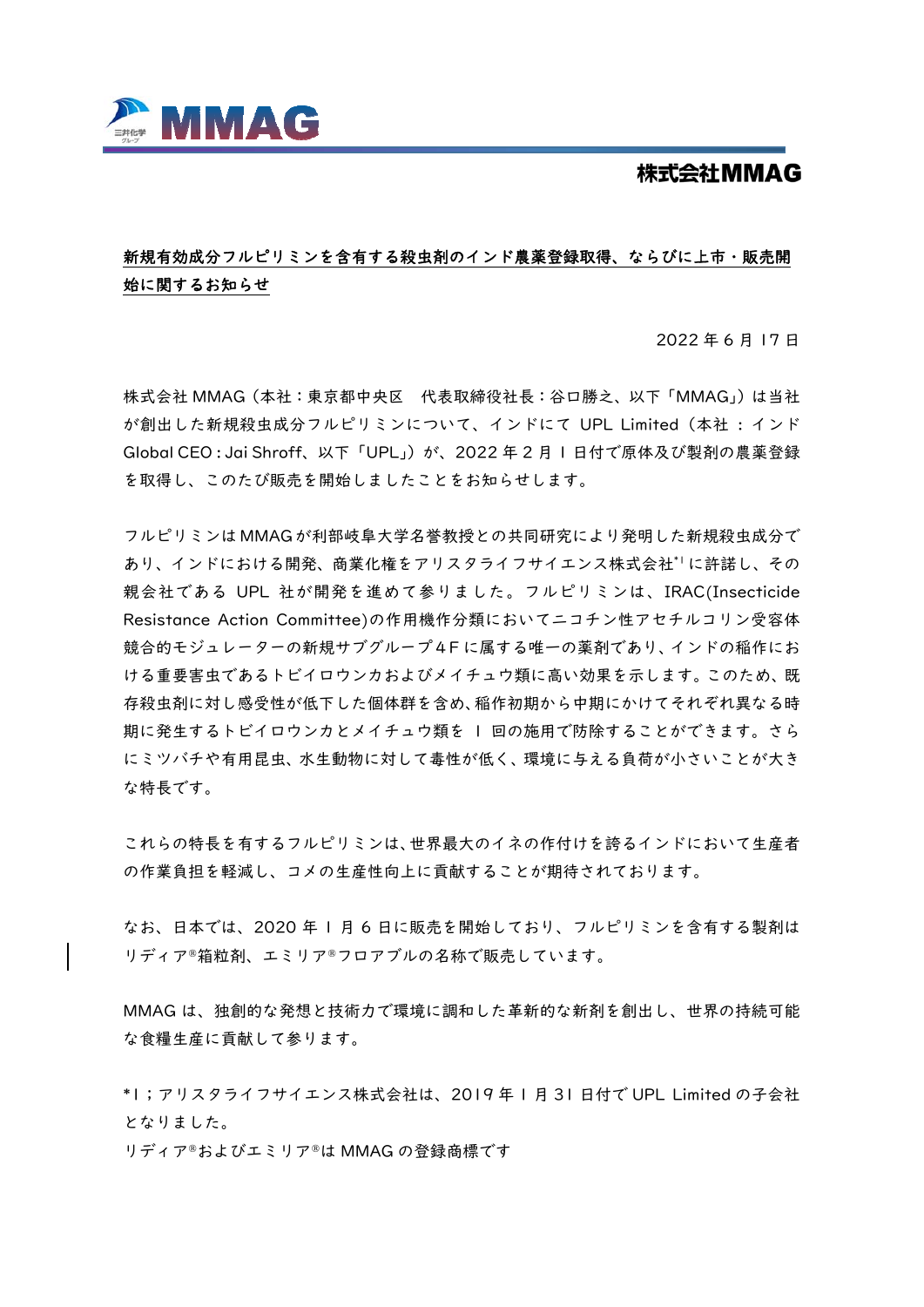

## 株式会社MMAG

## 新規有効成分フルピリミンを含有する殺虫剤のインド農薬登録取得、ならびに上市・販売開 始に関するお知らせ

2022 年 6 月 17 日

株式会社 MMAG(本社:東京都中央区 代表取締役社長:谷口勝之、以下「MMAG」)は当社 が創出した新規殺虫成分フルピリミンについて、インドにて UPL Limited(本社 : インド Global CEO : Jai Shroff、以下「UPL」)が、2022 年 2 月 1 日付で原体及び製剤の農薬登録 を取得し、このたび販売を開始しましたことをお知らせします。

フルピリミンは MMAG が利部岐阜大学名誉教授との共同研究により発明した新規殺虫成分で あり、インドにおける開発、商業化権をアリスタライフサイエンス株式会社\*1に許諾し、その 親会社である UPL 社が開発を進めて参りました。フルピリミンは、IRAC(Insecticide Resistance Action Committee)の作用機作分類においてニコチン性アセチルコリン受容体 競合的モジュレーターの新規サブグループ4F に属する唯一の薬剤であり、インドの稲作にお ける重要害虫であるトビイロウンカおよびメイチュウ類に高い効果を示します。このため、既 存殺虫剤に対し感受性が低下した個体群を含め、稲作初期から中期にかけてそれぞれ異なる時 期に発生するトビイロウンカとメイチュウ類を 1 回の施用で防除することができます。さら にミツバチや有用昆虫、水生動物に対して毒性が低く、環境に与える負荷が小さいことが大き な特長です。

これらの特長を有するフルピリミンは、世界最大のイネの作付けを誇るインドにおいて生産者 の作業負担を軽減し、コメの生産性向上に貢献することが期待されております。

なお、日本では、2020 年 1 月 6 日に販売を開始しており、フルピリミンを含有する製剤は リディア®箱粒剤、エミリア®フロアブルの名称で販売しています。

MMAG は、独創的な発想と技術力で環境に調和した革新的な新剤を創出し、世界の持続可能 な食糧生産に貢献して参ります。

\*1;アリスタライフサイエンス株式会社は、2019 年 1 月 31 日付で UPL Limited の子会社 となりました。

リディア®およびエミリア®は MMAG の登録商標です